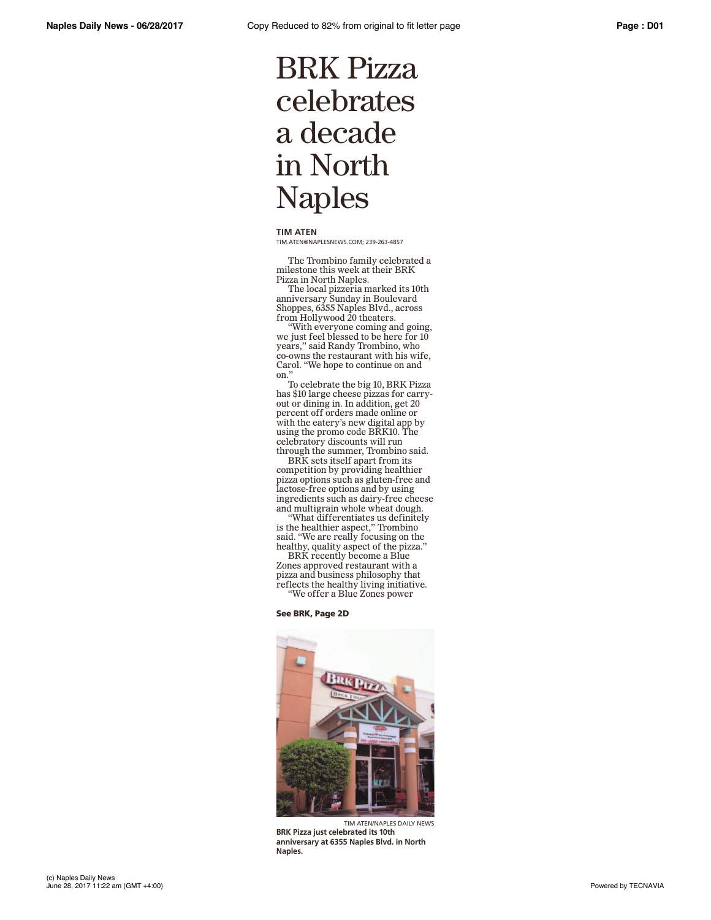## BRK Pizza celebrates a decade in North Naples

**TIM ATEN**

TIM.ATEN@NAPLESNEWS.COM; 239-263-4857

The Trombino family celebrated a milestone this week at their BRK Pizza in North Naples.

The local pizzeria marked its 10th anniversary Sunday in Boulevard Shoppes, 6355 Naples Blvd., across from Hollywood 20 theaters.

"With everyone coming and going, we just feel blessed to be here for 10 years," said Randy Trombino, who co-owns the restaurant with his wife, Carol. "We hope to continue on and on."

To celebrate the big 10, BRK Pizza has \$10 large cheese pizzas for carryout or dining in. In addition, get 20 percent off orders made online or with the eatery's new digital app by using the promo code BRK10. The celebratory discounts will run through the summer, Trombino said.

BRK sets itself apart from its competition by providing healthier pizza options such as gluten-free and lactose-free options and by using ingredients such as dairy-free cheese and multigrain whole wheat dough.

"What differentiates us definitely is the healthier aspect," Trombino said. "We are really focusing on the healthy, quality aspect of the pizza."

BRK recently become a Blue Zones approved restaurant with a pizza and business philosophy that reflects the healthy living initiative. "We offer a Blue Zones power

## See BRK, Page 2D



TIM ATEN/NAPLES DAILY NEWS **BRK Pizza just celebrated its 10th anniversary at 6355 Naples Blvd. in North Naples.**